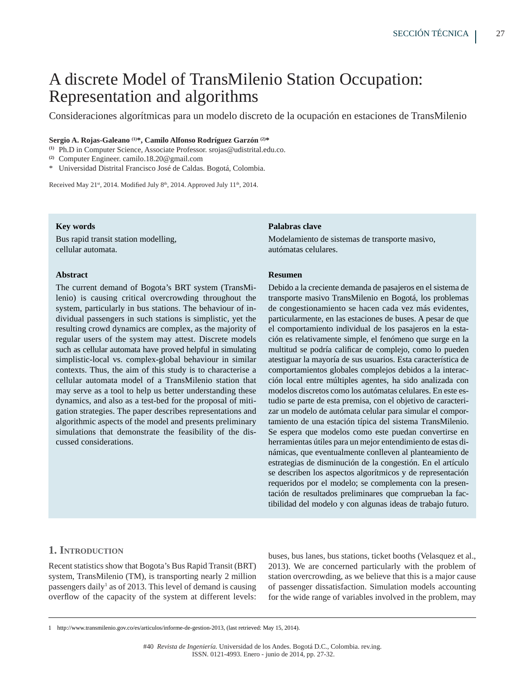# A discrete Model of TransMilenio Station Occupation: Representation and algorithms

Consideraciones algorítmicas para un modelo discreto de la ocupación en estaciones de TransMilenio

## **Sergio A. Rojas-Galeano (1)\*, Camilo Alfonso Rodríguez Garzón (2)\***

<sup>(1)</sup> Ph.D in Computer Science, Associate Professor. srojas@udistrital.edu.co.

<sup>(2)</sup> Computer Engineer. camilo.18.20@gmail.com

\* Universidad Distrital Francisco José de Caldas. Bogotá, Colombia.

Received May 21<sup>st</sup>, 2014. Modified July 8<sup>th</sup>, 2014. Approved July 11<sup>th</sup>, 2014.

## **Key words**

Bus rapid transit station modelling, cellular automata.

## **Abstract**

The current demand of Bogota's BRT system (TransMilenio) is causing critical overcrowding throughout the system, particularly in bus stations. The behaviour of individual passengers in such stations is simplistic, yet the resulting crowd dynamics are complex, as the majority of regular users of the system may attest. Discrete models such as cellular automata have proved helpful in simulating simplistic-local vs. complex-global behaviour in similar contexts. Thus, the aim of this study is to characterise a cellular automata model of a TransMilenio station that may serve as a tool to help us better understanding these dynamics, and also as a test-bed for the proposal of mitigation strategies. The paper describes representations and algorithmic aspects of the model and presents preliminary simulations that demonstrate the feasibility of the discussed considerations.

## **Palabras clave**

Modelamiento de sistemas de transporte masivo, autómatas celulares.

## **Resumen**

Debido a la creciente demanda de pasajeros en el sistema de transporte masivo TransMilenio en Bogotá, los problemas de congestionamiento se hacen cada vez más evidentes, particularmente, en las estaciones de buses. A pesar de que el comportamiento individual de los pasajeros en la estación es relativamente simple, el fenómeno que surge en la multitud se podría calificar de complejo, como lo pueden atestiguar la mayoría de sus usuarios. Esta característica de comportamientos globales complejos debidos a la interacción local entre múltiples agentes, ha sido analizada con modelos discretos como los autómatas celulares. En este estudio se parte de esta premisa, con el objetivo de caracterizar un modelo de autómata celular para simular el comportamiento de una estación típica del sistema TransMilenio. Se espera que modelos como este puedan convertirse en herramientas útiles para un mejor entendimiento de estas dinámicas, que eventualmente conlleven al planteamiento de estrategias de disminución de la congestión. En el artículo se describen los aspectos algorítmicos y de representación requeridos por el modelo; se complementa con la presentación de resultados preliminares que comprueban la factibilidad del modelo y con algunas ideas de trabajo futuro.

# **1. INTRODUCTION**

Recent statistics show that Bogota's Bus Rapid Transit (BRT) system, TransMilenio (TM), is transporting nearly 2 million passengers daily<sup>1</sup> as of 2013. This level of demand is causing overflow of the capacity of the system at different levels:

buses, bus lanes, bus stations, ticket booths (Velasquez et al., 2013). We are concerned particularly with the problem of station overcrowding, as we believe that this is a major cause of passenger dissatisfaction. Simulation models accounting for the wide range of variables involved in the problem, may

<sup>1</sup> http://www.transmilenio.gov.co/es/articulos/informe-de-gestion-2013, (last retrieved: May 15, 2014).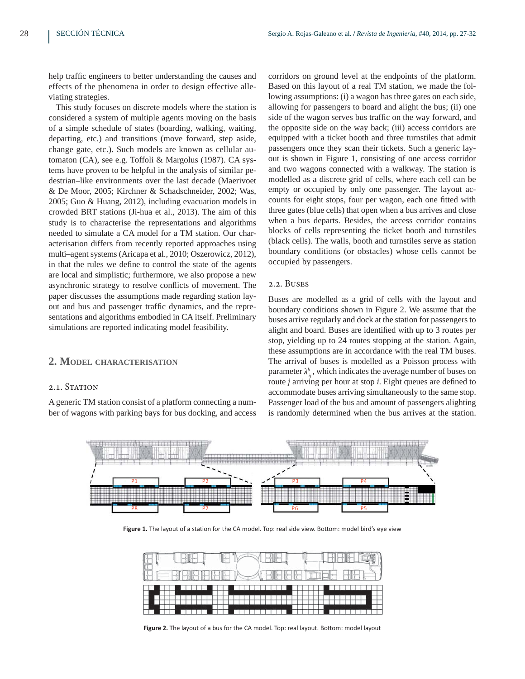help traffic engineers to better understanding the causes and effects of the phenomena in order to design effective alleviating strategies.

This study focuses on discrete models where the station is considered a system of multiple agents moving on the basis of a simple schedule of states (boarding, walking, waiting, departing, etc.) and transitions (move forward, step aside, change gate, etc.). Such models are known as cellular automaton (CA), see e.g. Toffoli & Margolus (1987). CA systems have proven to be helpful in the analysis of similar pedestrian–like environments over the last decade (Maerivoet & De Moor, 2005; Kirchner & Schadschneider, 2002; Was, 2005; Guo & Huang, 2012), including evacuation models in crowded BRT stations (Ji-hua et al., 2013). The aim of this study is to characterise the representations and algorithms needed to simulate a CA model for a TM station. Our characterisation differs from recently reported approaches using multi–agent systems (Aricapa et al., 2010; Oszerowicz, 2012), in that the rules we define to control the state of the agents are local and simplistic; furthermore, we also propose a new asynchronic strategy to resolve conflicts of movement. The paper discusses the assumptions made regarding station layout and bus and passenger traffic dynamics, and the representations and algorithms embodied in CA itself. Preliminary simulations are reported indicating model feasibility.

## **2. MODEL CHARACTERISATION**

## 2.1. STATION

A generic TM station consist of a platform connecting a number of wagons with parking bays for bus docking, and access corridors on ground level at the endpoints of the platform. Based on this layout of a real TM station, we made the following assumptions: (i) a wagon has three gates on each side, allowing for passengers to board and alight the bus; (ii) one side of the wagon serves bus traffic on the way forward, and the opposite side on the way back; (iii) access corridors are equipped with a ticket booth and three turnstiles that admit passengers once they scan their tickets. Such a generic layout is shown in Figure 1, consisting of one access corridor and two wagons connected with a walkway. The station is modelled as a discrete grid of cells, where each cell can be empty or occupied by only one passenger. The layout accounts for eight stops, four per wagon, each one fitted with three gates (blue cells) that open when a bus arrives and close when a bus departs. Besides, the access corridor contains blocks of cells representing the ticket booth and turnstiles (black cells). The walls, booth and turnstiles serve as station boundary conditions (or obstacles) whose cells cannot be occupied by passengers.

## 2.2. Buses

Buses are modelled as a grid of cells with the layout and boundary conditions shown in Figure 2. We assume that the buses arrive regularly and dock at the station for passengers to alight and board. Buses are identified with up to 3 routes per stop, yielding up to 24 routes stopping at the station. Again, these assumptions are in accordance with the real TM buses. The arrival of buses is modelled as a Poisson process with parameter  $\lambda_{ij}^b$ , which indicates the average number of buses on route *j* arriving per hour at stop *i*. Eight queues are defined to accommodate buses arriving simultaneously to the same stop. Passenger load of the bus and amount of passengers alighting is randomly determined when the bus arrives at the station.



Figure 1. The layout of a station for the CA model. Top: real side view. Bottom: model bird's eye view



Figure 2. The layout of a bus for the CA model. Top: real layout. Bottom: model layout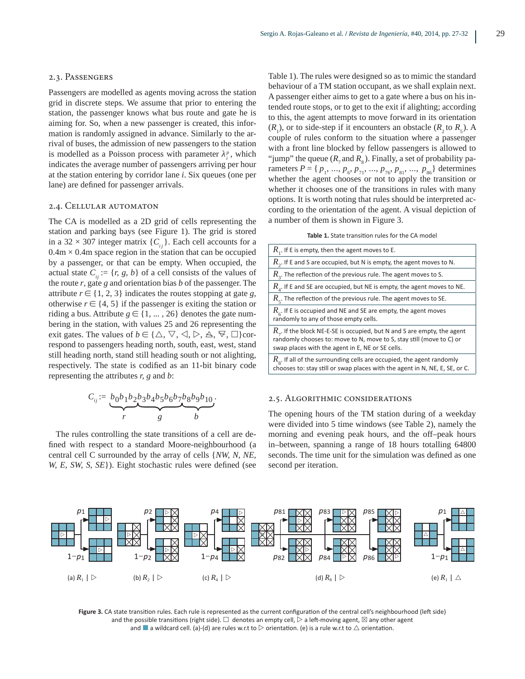#### 2.3. Passengers

Passengers are modelled as agents moving across the station grid in discrete steps. We assume that prior to entering the station, the passenger knows what bus route and gate he is aiming for. So, when a new passenger is created, this information is randomly assigned in advance. Similarly to the arrival of buses, the admission of new passengers to the station is modelled as a Poisson process with parameter  $\lambda_i^p$ , which indicates the average number of passengers arriving per hour at the station entering by corridor lane *i*. Six queues (one per lane) are defined for passenger arrivals.

## 2.4. Cellular automaton

The CA is modelled as a 2D grid of cells representing the station and parking bays (see Figure 1). The grid is stored in a 32  $\times$  307 integer matrix  $\{ C_i \}$ . Each cell accounts for a  $0.4m \times 0.4m$  space region in the station that can be occupied by a passenger, or that can be empty. When occupied, the actual state  $C_{ij} := \{r, g, b\}$  of a cell consists of the values of the route *r*, gate *g* and orientation bias *b* of the passenger. The attribute  $r \in \{1, 2, 3\}$  indicates the routes stopping at gate *g*, otherwise  $r \in \{4, 5\}$  if the passenger is exiting the station or riding a bus. Attribute  $g \in \{1, ..., 26\}$  denotes the gate numbering in the station, with values 25 and 26 representing the exit gates. The values of *b*  $\in$  { $\triangle$ ,  $\nabla$ ,  $\triangle$ ,  $\triangleright$ ,  $\triangle$ ,  $\triangleright$ ,  $\square$ }correspond to passengers heading north, south, east, west, stand still heading north, stand still heading south or not alighting, respectively. The state is codified as an 11-bit binary code representing the attributes *r, g* and *b*:

$$
C_{ij} := \underbrace{b_0b_1b_2b_3b_4b_5b_6b_7b_8b_9b_{10}}_{r},
$$

The rules controlling the state transitions of a cell are defined with respect to a standard Moore-neighbourhood (a central cell C surrounded by the array of cells ^*NW, N, NE, W, E, SW, S, SE*}). Eight stochastic rules were defined (see Table 1). The rules were designed so as to mimic the standard behaviour of a TM station occupant, as we shall explain next. A passenger either aims to get to a gate where a bus on his intended route stops, or to get to the exit if alighting; according to this, the agent attempts to move forward in its orientation  $(R_1)$ , or to side-step if it encounters an obstacle  $(R_2$  to  $R_5$ ). A couple of rules conform to the situation where a passenger with a front line blocked by fellow passengers is allowed to "jump" the queue  $(R_{7}$  and  $R_{8}$ ). Finally, a set of probability parameters  $P = \{ p_1, ..., p_6, p_{71}, ..., p_{76}, p_{81}, ..., p_{86} \}$  determines whether the agent chooses or not to apply the transition or whether it chooses one of the transitions in rules with many options. It is worth noting that rules should be interpreted according to the orientation of the agent. A visual depiction of a number of them is shown in Figure 3.

| Table 1. State transition rules for the CA model |  |
|--------------------------------------------------|--|
|--------------------------------------------------|--|

| $R_{1}$ . If E is empty, then the agent moves to E.                                                                                                                                                           |  |  |
|---------------------------------------------------------------------------------------------------------------------------------------------------------------------------------------------------------------|--|--|
| $R_{\gamma}$ . If E and S are occupied, but N is empty, the agent moves to N.                                                                                                                                 |  |  |
| $R_{\alpha}$ . The reflection of the previous rule. The agent moves to S.                                                                                                                                     |  |  |
| $R_{\scriptscriptstyle{A}}$ . If E and SE are occupied, but NE is empty, the agent moves to NE.                                                                                                               |  |  |
| $R_{\textrm{\tiny{c}}}$ . The reflection of the previous rule. The agent moves to SE.                                                                                                                         |  |  |
| $R_c$ . If E is occupied and NE and SE are empty, the agent moves<br>randomly to any of those empty cells.                                                                                                    |  |  |
| $R_{\gamma}$ . If the block NE-E-SE is occupied, but N and S are empty, the agent<br>randomly chooses to: move to N, move to S, stay still (move to C) or<br>swap places with the agent in E, NE or SE cells. |  |  |
| $R_{\circ}$ . If all of the surrounding cells are occupied, the agent randomly<br>chooses to: stay still or swap places with the agent in N, NE, E, SE, or C.                                                 |  |  |

#### 2.5. Algorithmic considerations

The opening hours of the TM station during of a weekday were divided into 5 time windows (see Table 2), namely the morning and evening peak hours, and the off–peak hours in–between, spanning a range of 18 hours totalling 64800 seconds. The time unit for the simulation was defined as one second per iteration.



Figure 3. CA state transition rules. Each rule is represented as the current configuration of the central cell's neighbourhood (left side) and the possible transitions (right side).  $\Box$  denotes an empty cell,  $\triangleright$  a left-moving agent,  $\boxtimes$  any other agent and  $\blacksquare$  a wildcard cell. (a)-(d) are rules w.r.t to  $\triangleright$  orientation. (e) is a rule w.r.t to  $\triangle$  orientation.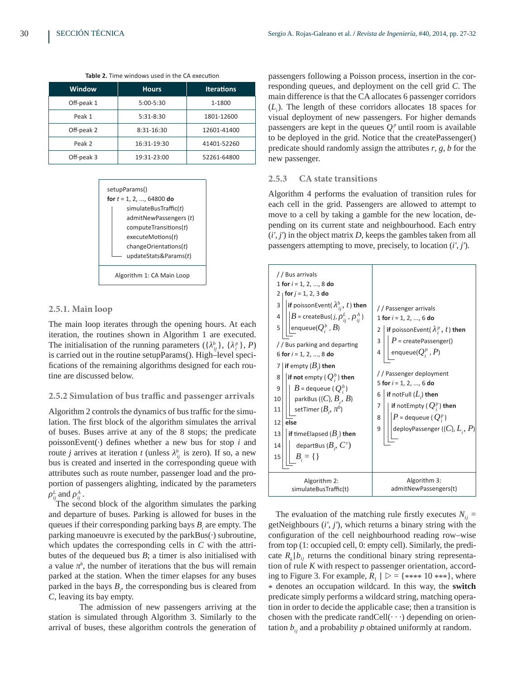| <b>Window</b> | <b>Hours</b> | <b>Iterations</b> |
|---------------|--------------|-------------------|
| Off-peak 1    | 5:00-5:30    | 1-1800            |
| Peak 1        | $5:31-8:30$  | 1801-12600        |
| Off-peak 2    | 8:31-16:30   | 12601-41400       |
| Peak 2        | 16:31-19:30  | 41401-52260       |
| Off-peak 3    | 19:31-23:00  | 52261-64800       |

**Table 2.** Time windows used in the CA execution



## **2.5.1. Main loop**

The main loop iterates through the opening hours. At each iteration, the routines shown in Algorithm 1 are executed. The initialisation of the running parameters  $({\lambda^b_{ij}}$ ,  $({\lambda^p_i})$ , *P*) is carried out in the routine setupParams(). High–level specifications of the remaining algorithms designed for each routine are discussed below.

#### **2.5.2 Simulation of bus traffic and passenger arrivals**

Algorithm 2 controls the dynamics of bus traffic for the simulation. The first block of the algorithm simulates the arrival of buses. Buses arrive at any of the 8 stops; the predicate  $poissonEvent(·)$  defines whether a new bus for stop  $i$  and route *j* arrives at iteration *t* (unless  $\lambda_{ij}^b$  is zero). If so, a new bus is created and inserted in the corresponding queue with attributes such as route number, passenger load and the proportion of passengers alighting, indicated by the parameters  $\rho^L_{ij}$  and  $\rho^A_{ij}$  .

The second block of the algorithm simulates the parking and departure of buses. Parking is allowed for buses in the queues if their corresponding parking bays  $B<sub>i</sub>$  are empty. The parking manoeuvre is executed by the parkBus( $\cdot$ ) subroutine, which updates the corresponding cells in *C* with the attributes of the dequeued bus *B*; a timer is also initialised with a value  $\pi^b$ , the number of iterations that the bus will remain parked at the station. When the timer elapses for any buses parked in the bays  $B_{i}$ , the corresponding bus is cleared from *C*, leaving its bay empty.

 The admission of new passengers arriving at the station is simulated through Algorithm 3. Similarly to the arrival of buses, these algorithm controls the generation of

passengers following a Poisson process, insertion in the corresponding queues, and deployment on the cell grid *C*. The main difference is that the CA allocates 6 passenger corridors (*L<sub>i</sub>*). The length of these corridors allocates 18 spaces for visual deployment of new passengers. For higher demands passengers are kept in the queues  $Q_i^p$  until room is available to be deployed in the grid. Notice that the createPassenger() predicate should randomly assign the attributes *r*, *g*, *b* for the new passenger.

# **2.5.3 CA state transitions**

Algorithm 4 performs the evaluation of transition rules for each cell in the grid. Passengers are allowed to attempt to move to a cell by taking a gamble for the new location, depending on its current state and neighbourhood. Each entry  $(i', j')$  in the object matrix  $D$ , keeps the gambles taken from all passengers attempting to move, precisely, to location (*i'*, *j'*).

| // Bus arrivals<br>1 for $i = 1, 2, , 8$ do<br>$2  $ for $j = 1, 2, 3$ do<br>if poisson Event( $\lambda_{ii}^b$ , t) then<br>3<br>$\left B\right $ = createBus( <i>j</i> , $\rho_{ii}^L$ , $\rho_{ii}^A$ )<br>4<br>enqueue( $Q_i^b$ , $B$ )<br>5<br>// Bus parking and departing<br>6 for $i = 1, 2, , 8$ do<br>if empty $(B_i)$ then<br>if not empty ( $Q_i^b$ ) then<br>8<br>$B$ = dequeue ( $Q_i^b$ )<br>9<br>parkBus $(\{C\}, B_i, B)$<br>10<br>setTimer $(B_{,}, \pi^{b})$<br>11<br>else<br>12<br>if timeElapsed $(Bi)$ then<br>13<br>departBus $(B_{i}, C^{t})$<br>14<br>$B_i = \{\}$<br>15 | //Passenger arrivals<br>1 for $i = 1, 2, , 6$ do<br>if poisson Event ( $\lambda_i^p$ , t) then<br>2<br>$P = \text{createPassenger}()$<br>3<br>enqueue $(Q_i^p, P)$<br>4<br>//Passenger deployment<br>5 for $i = 1, 2, , 6$ do<br>if notFull $(L_i)$ then<br>6<br>if notEmpty ( $Q_i^p$ ) then<br>7<br>$ P$ = dequeue ( $Q_i^p$ )<br>8<br>deployPassenger ({C}, $L_i$ , P)<br>9 |
|---------------------------------------------------------------------------------------------------------------------------------------------------------------------------------------------------------------------------------------------------------------------------------------------------------------------------------------------------------------------------------------------------------------------------------------------------------------------------------------------------------------------------------------------------------------------------------------------------|--------------------------------------------------------------------------------------------------------------------------------------------------------------------------------------------------------------------------------------------------------------------------------------------------------------------------------------------------------------------------------|
| Algorithm 2:                                                                                                                                                                                                                                                                                                                                                                                                                                                                                                                                                                                      | Algorithm 3:                                                                                                                                                                                                                                                                                                                                                                   |
| simulateBusTraffic(t)                                                                                                                                                                                                                                                                                                                                                                                                                                                                                                                                                                             | admitNewPassengers(t)                                                                                                                                                                                                                                                                                                                                                          |

The evaluation of the matching rule firstly executes  $N_{ii}$  = getNeighbours (*i'*, *j'*), which returns a binary string with the configuration of the cell neighbourhood reading row–wise from top (1: occupied cell, 0: empty cell). Similarly, the predicate  $R_k|b_{ij}$  returns the conditional binary string representation of rule *K* with respect to passenger orientation, according to Figure 3. For example,  $R_1 | D = \{**** 10***\}$ , where \* denotes an occupation wildcard. In this way, the **switch** predicate simply performs a wildcard string, matching operation in order to decide the applicable case; then a transition is chosen with the predicate randCell $(\cdot \cdot \cdot)$  depending on orientation  $b_{ij}$  and a probability  $p$  obtained uniformly at random.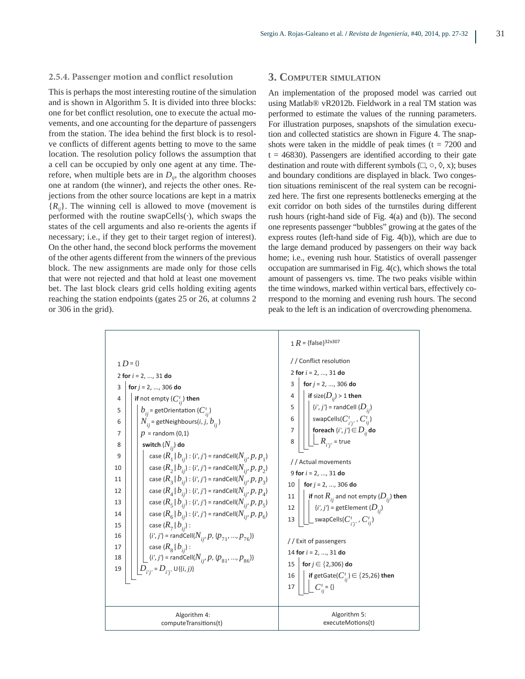#### **2.5.4. Passenger motion and conflict resolution**

This is perhaps the most interesting routine of the simulation and is shown in Algorithm 5. It is divided into three blocks: one for bet conflict resolution, one to execute the actual movements, and one accounting for the departure of passengers from the station. The idea behind the first block is to resolve conflicts of different agents betting to move to the same location. The resolution policy follows the assumption that a cell can be occupied by only one agent at any time. Therefore, when multiple bets are in  $D_{ij}$ , the algorithm chooses one at random (the winner), and rejects the other ones. Rejections from the other source locations are kept in a matrix  ${R<sub>ii</sub>}$ . The winning cell is allowed to move (movement is performed with the routine swapCells(·), which swaps the states of the cell arguments and also re-orients the agents if necessary; i.e., if they get to their target region of interest). On the other hand, the second block performs the movement of the other agents different from the winners of the previous block. The new assignments are made only for those cells that were not rejected and that hold at least one movement bet. The last block clears grid cells holding exiting agents reaching the station endpoints (gates 25 or 26, at columns 2 or 306 in the grid).

## **3. COMPUTER SIMULATION**

An implementation of the proposed model was carried out using Matlab® vR2012b. Fieldwork in a real TM station was performed to estimate the values of the running parameters. For illustration purposes, snapshots of the simulation execution and collected statistics are shown in Figure 4. The snapshots were taken in the middle of peak times ( $t = 7200$  and  $t = 46830$ ). Passengers are identified according to their gate destination and route with different symbols  $(\Box, \circ, \Diamond, x)$ ; buses and boundary conditions are displayed in black. Two congestion situations reminiscent of the real system can be recognized here. The first one represents bottlenecks emerging at the exit corridor on both sides of the turnstiles during different rush hours (right-hand side of Fig. 4(a) and (b)). The second one represents passenger "bubbles" growing at the gates of the express routes (left-hand side of Fig.  $4(b)$ ), which are due to the large demand produced by passengers on their way back home; i.e., evening rush hour. Statistics of overall passenger occupation are summarised in Fig. 4(c), which shows the total amount of passengers vs. time. The two peaks visible within the time windows, marked within vertical bars, effectively correspond to the morning and evening rush hours. The second peak to the left is an indication of overcrowding phenomena.

|                                                                                                                                                                                                                                                                                                                                                                                                                                                                                                                                                                                                                                                                                                                                                                                                                                                                                                                                                                                                                                                                                                    | 1 $R = \{\text{false}\}^{32\times307}$                                                                                                                                                                                                                                                                                                                                                                                                                                                                                                                                                                                                                                                                                              |
|----------------------------------------------------------------------------------------------------------------------------------------------------------------------------------------------------------------------------------------------------------------------------------------------------------------------------------------------------------------------------------------------------------------------------------------------------------------------------------------------------------------------------------------------------------------------------------------------------------------------------------------------------------------------------------------------------------------------------------------------------------------------------------------------------------------------------------------------------------------------------------------------------------------------------------------------------------------------------------------------------------------------------------------------------------------------------------------------------|-------------------------------------------------------------------------------------------------------------------------------------------------------------------------------------------------------------------------------------------------------------------------------------------------------------------------------------------------------------------------------------------------------------------------------------------------------------------------------------------------------------------------------------------------------------------------------------------------------------------------------------------------------------------------------------------------------------------------------------|
| $1 D = \{\}$<br>2 for $i = 2, , 31$ do<br>for $j = 2, , 306$ do<br>3<br>if not empty $(C_{ii}^t)$ then<br>4<br>$b_{ii}$ = getOrientation ( $C_{ii}^{t}$ )<br>5<br>$N_{ii}$ = getNeighbours( <i>i</i> , <i>j</i> , $b_{ii}$ )<br>6<br>$p =$ random (0,1)<br>7<br>switch $(N_{ij})$ do<br>8<br>case $(R_1   b_{ii})$ : { <i>i', j'</i> } = randCell( $N_{ii'} p, p_1$ )<br>9<br>case $(R_2   b_{ii})$ : { <i>i', j'</i> } = randCell( $N_{ii'} p, p_2$ )<br>10<br>case $(R_3   b_{ii})$ : { <i>i', j'</i> } = randCell( $N_{ii'} p, p_3$ )<br>11<br>case $(R_4   b_{ii})$ : { <i>i', j'</i> } = randCell( $N_{ii'} p, p_4$ )<br>12<br>case $(R_5   b_{ii})$ : { <i>i', j'</i> } = randCell( $N_{ii'} p, p_5$ )<br>13<br>case $(R_6   b_{ii})$ : { <i>i', j'</i> } = randCell( $N_{ii'} p, p_6$ )<br>14<br>case $(R_{7}   b_{ii})$ :<br>15<br>$\{i', j'\}$ = randCell( $N_{i'j'}$ , $p$ , $\{p_{71'}, , p_{76}\}$ )<br>16<br>case ( $R_{_8}$   $b_{_{ii}}$ ) :<br>17<br>$\lfloor i', j' \rfloor$ = randCell( $N_{i'_{i'}} p$ , { $p_{81'}, p_{86}$ })<br>18<br>$D_{ij} = D_{ij} \cup \{(i,j)\}$<br>19 | // Conflict resolution<br>2 for $i = 2, , 31$ do<br>for $j = 2, , 306$ do<br>3<br>if size( $D_{ii}$ ) > 1 then<br>4<br>$\vert \{i',j'\}$ = randCell $(D_{ij})$<br>5<br>swapCells( $C_{i'i'}^t$ , $C_{ii}^t$ )<br>6<br>foreach $\{i',j'\} \in D_{ij}$ do<br>7<br>$\_R_{_{l^{\prime}l^{\prime}}}$ = true<br>8<br>// Actual movements<br>9 for $i = 2, , 31$ do<br>for $j = 2, , 306$ do<br>10<br>if not $R_{ii}$ and not empty ( $D_{ii}$ ) then<br>11<br>$\{i',j'\}$ = getElement $(D_{ij})$<br>12<br>$\_$ swapCells( $C^t_{\, i'i'}$ , $C^t_{\, ii}$ )<br>13<br>// Exit of passengers<br>14 for $i = 2, , 31$ do<br>for $j \in \{2, 306\}$ do<br>15<br>if getGate( $C_{ii}^t$ ) $\in$ {25,26} then<br>16<br>$C_{ii}^t = \{\}$<br>17 |
| Algorithm 4:<br>computeTransitions(t)                                                                                                                                                                                                                                                                                                                                                                                                                                                                                                                                                                                                                                                                                                                                                                                                                                                                                                                                                                                                                                                              | Algorithm 5:<br>executeMotions(t)                                                                                                                                                                                                                                                                                                                                                                                                                                                                                                                                                                                                                                                                                                   |